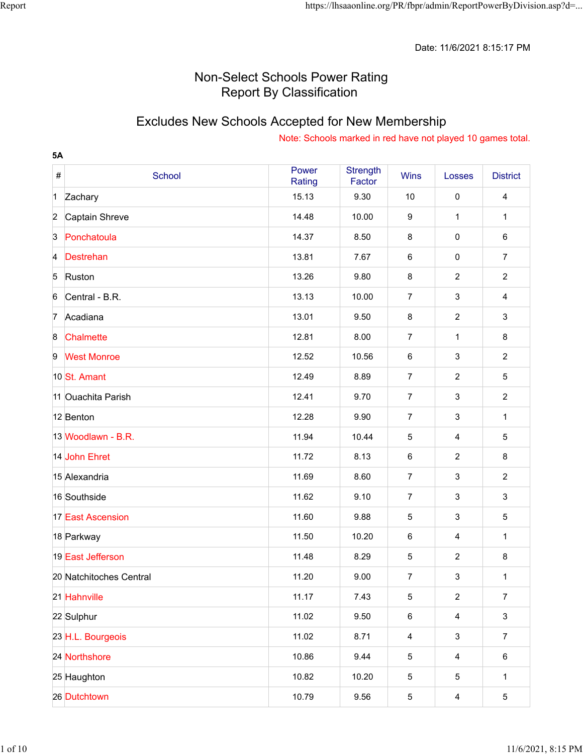Date: 11/6/2021 8:15:17 PM

## Non-Select Schools Power Rating Report By Classification

# Excludes New Schools Accepted for New Membership

| <b>5A</b>        |                          |                 |                           |                  |                           |                 |
|------------------|--------------------------|-----------------|---------------------------|------------------|---------------------------|-----------------|
| $\#$             | School                   | Power<br>Rating | <b>Strength</b><br>Factor | <b>Wins</b>      | Losses                    | <b>District</b> |
| $\mathbf 1$      | Zachary                  | 15.13           | 9.30                      | 10               | $\pmb{0}$                 | $\overline{4}$  |
| $\overline{2}$   | Captain Shreve           | 14.48           | 10.00                     | $\boldsymbol{9}$ | $\mathbf{1}$              | 1               |
| $\overline{3}$   | Ponchatoula              | 14.37           | 8.50                      | 8                | $\pmb{0}$                 | 6               |
| $\overline{4}$   | Destrehan                | 13.81           | 7.67                      | $\,6\,$          | $\pmb{0}$                 | $\overline{7}$  |
| 5                | Ruston                   | 13.26           | 9.80                      | 8                | $\overline{c}$            | $\overline{2}$  |
| 6                | Central - B.R.           | 13.13           | 10.00                     | $\overline{7}$   | $\mathsf 3$               | 4               |
| $\overline{7}$   | Acadiana                 | 13.01           | 9.50                      | $\bf 8$          | $\overline{c}$            | 3               |
| $\boldsymbol{8}$ | Chalmette                | 12.81           | 8.00                      | $\overline{7}$   | $\mathbf{1}$              | $\bf 8$         |
| 9                | <b>West Monroe</b>       | 12.52           | 10.56                     | $\,6\,$          | $\mathsf 3$               | $\overline{2}$  |
|                  | 10 St. Amant             | 12.49           | 8.89                      | $\overline{7}$   | $\overline{c}$            | 5               |
|                  | 11 Ouachita Parish       | 12.41           | 9.70                      | $\overline{7}$   | $\mathsf 3$               | $\overline{2}$  |
|                  | 12 Benton                | 12.28           | 9.90                      | $\overline{7}$   | $\mathsf 3$               | $\mathbf{1}$    |
|                  | 13 Woodlawn - B.R.       | 11.94           | 10.44                     | 5                | 4                         | 5               |
|                  | 14 John Ehret            | 11.72           | 8.13                      | $\,6\,$          | $\overline{2}$            | $\bf 8$         |
|                  | 15 Alexandria            | 11.69           | 8.60                      | $\overline{7}$   | $\mathsf 3$               | $\overline{2}$  |
|                  | 16 Southside             | 11.62           | 9.10                      | $\overline{7}$   | $\mathsf 3$               | 3               |
|                  | <b>17 East Ascension</b> | 11.60           | 9.88                      | 5                | $\mathsf 3$               | 5               |
|                  | 18 Parkway               | 11.50           | 10.20                     | $\,6\,$          | $\overline{\mathbf{4}}$   | $\mathbf{1}$    |
|                  | 19 East Jefferson        | 11.48           | 8.29                      | 5                | $\overline{2}$            | 8               |
|                  | 20 Natchitoches Central  | 11.20           | 9.00                      | $\overline{7}$   | $\ensuremath{\mathsf{3}}$ | $\mathbf{1}$    |
|                  | 21 Hahnville             | 11.17           | 7.43                      | 5                | $\overline{2}$            | $\overline{7}$  |
|                  | 22 Sulphur               | 11.02           | 9.50                      | $\,6\,$          | $\overline{4}$            | $\mathfrak{S}$  |
|                  | 23 H.L. Bourgeois        | 11.02           | 8.71                      | $\overline{4}$   | $\mathbf{3}$              | $\overline{7}$  |
|                  | 24 Northshore            | 10.86           | 9.44                      | 5                | $\overline{4}$            | $\,6$           |
|                  | 25 Haughton              | 10.82           | 10.20                     | 5                | 5                         | $\mathbf{1}$    |
|                  | 26 Dutchtown             | 10.79           | 9.56                      | 5                | $\overline{4}$            | $\overline{5}$  |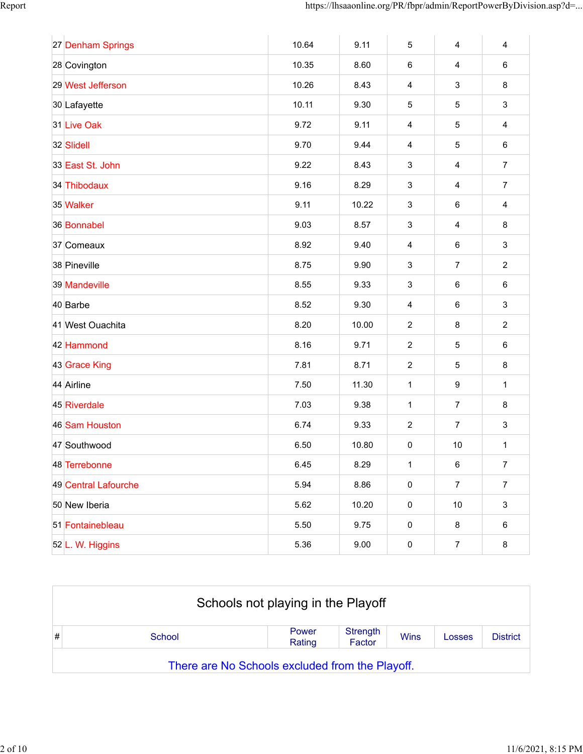| 27 Denham Springs    | 10.64 | 9.11  | 5                         | $\overline{\mathbf{4}}$ | $\overline{4}$   |
|----------------------|-------|-------|---------------------------|-------------------------|------------------|
| 28 Covington         | 10.35 | 8.60  | 6                         | $\overline{\mathbf{4}}$ | $\,6\,$          |
| 29 West Jefferson    | 10.26 | 8.43  | $\overline{\mathbf{4}}$   | 3                       | 8                |
| 30 Lafayette         | 10.11 | 9.30  | $\sqrt{5}$                | 5                       | $\sqrt{3}$       |
| 31 Live Oak          | 9.72  | 9.11  | $\overline{4}$            | 5                       | $\overline{4}$   |
| 32 Slidell           | 9.70  | 9.44  | $\overline{4}$            | 5                       | $\,6\,$          |
| 33 East St. John     | 9.22  | 8.43  | $\ensuremath{\mathsf{3}}$ | $\overline{4}$          | $\overline{7}$   |
| 34 Thibodaux         | 9.16  | 8.29  | $\mathbf{3}$              | 4                       | $\boldsymbol{7}$ |
| 35 Walker            | 9.11  | 10.22 | 3                         | 6                       | $\overline{4}$   |
| 36 Bonnabel          | 9.03  | 8.57  | $\mathbf{3}$              | $\overline{4}$          | $\,8\,$          |
| 37 Comeaux           | 8.92  | 9.40  | $\overline{4}$            | $\,6\,$                 | $\mathfrak{S}$   |
| 38 Pineville         | 8.75  | 9.90  | $\mathbf{3}$              | $\overline{7}$          | $\overline{2}$   |
| 39 Mandeville        | 8.55  | 9.33  | 3                         | $\,6\,$                 | $\,6\,$          |
| 40 Barbe             | 8.52  | 9.30  | $\overline{4}$            | 6                       | $\mathbf{3}$     |
| 41 West Ouachita     | 8.20  | 10.00 | $\overline{2}$            | 8                       | $\sqrt{2}$       |
| 42 Hammond           | 8.16  | 9.71  | $\overline{2}$            | 5                       | $\,6\,$          |
| 43 Grace King        | 7.81  | 8.71  | $\overline{2}$            | 5                       | 8                |
| 44 Airline           | 7.50  | 11.30 | $\mathbf{1}$              | 9                       | $\mathbf 1$      |
| 45 Riverdale         | 7.03  | 9.38  | 1                         | $\overline{7}$          | 8                |
| 46 Sam Houston       | 6.74  | 9.33  | $\overline{2}$            | $\overline{7}$          | $\mathbf{3}$     |
| 47 Southwood         | 6.50  | 10.80 | $\pmb{0}$                 | $10$                    | 1                |
| 48 Terrebonne        | 6.45  | 8.29  | $\mathbf{1}$              | 6                       | 7                |
| 49 Central Lafourche | 5.94  | 8.86  | $\pmb{0}$                 | $\overline{7}$          | $\overline{7}$   |
| 50 New Iberia        | 5.62  | 10.20 | $\pmb{0}$                 | $10$                    | $\mathbf{3}$     |
| 51 Fontainebleau     | 5.50  | 9.75  | $\pmb{0}$                 | 8                       | $\,6$            |
| 52 L. W. Higgins     | 5.36  | 9.00  | $\pmb{0}$                 | $\overline{7}$          | 8                |

|   |                                                 | Schools not playing in the Playoff |                    |             |        |                 |  |  |
|---|-------------------------------------------------|------------------------------------|--------------------|-------------|--------|-----------------|--|--|
| # | School                                          | Power<br>Rating                    | Strength<br>Factor | <b>Wins</b> | Losses | <b>District</b> |  |  |
|   | There are No Schools excluded from the Playoff. |                                    |                    |             |        |                 |  |  |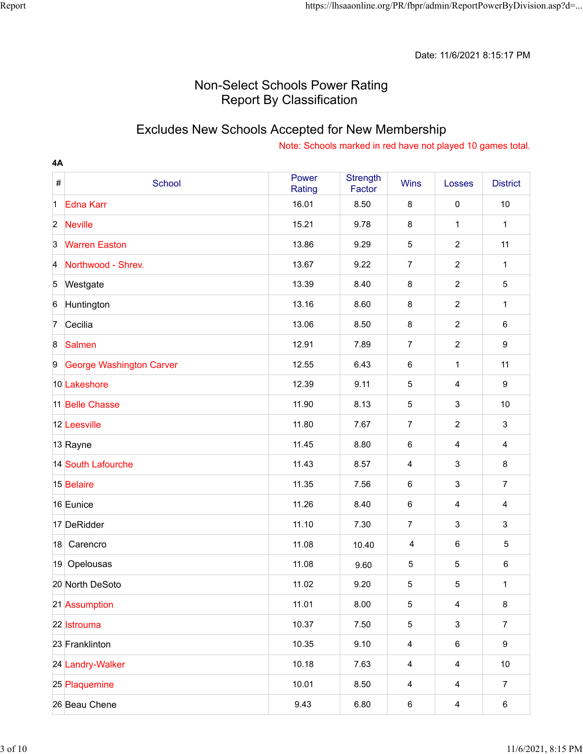### Excludes New Schools Accepted for New Membership

| 4A               |                                 |                 |                           |                         |                         |                  |
|------------------|---------------------------------|-----------------|---------------------------|-------------------------|-------------------------|------------------|
| $\#$             | School                          | Power<br>Rating | <b>Strength</b><br>Factor | <b>Wins</b>             | Losses                  | <b>District</b>  |
| $\vert$ 1        | <b>Edna Karr</b>                | 16.01           | 8.50                      | 8                       | $\pmb{0}$               | 10               |
| $\overline{2}$   | <b>Neville</b>                  | 15.21           | 9.78                      | 8                       | $\mathbf{1}$            | 1                |
| $\overline{3}$   | <b>Warren Easton</b>            | 13.86           | 9.29                      | 5                       | $\overline{2}$          | 11               |
| $\overline{A}$   | Northwood - Shrev.              | 13.67           | 9.22                      | $\overline{7}$          | $\overline{2}$          | 1                |
| 5                | Westgate                        | 13.39           | 8.40                      | $\bf 8$                 | $\overline{2}$          | $\sqrt{5}$       |
| $6\phantom{.}6$  | Huntington                      | 13.16           | 8.60                      | 8                       | $\overline{2}$          | 1                |
| 7                | Cecilia                         | 13.06           | 8.50                      | 8                       | $\overline{c}$          | 6                |
| $\boldsymbol{8}$ | <b>Salmen</b>                   | 12.91           | 7.89                      | $\overline{7}$          | $\overline{2}$          | $\boldsymbol{9}$ |
| 9                | <b>George Washington Carver</b> | 12.55           | 6.43                      | 6                       | $\mathbf{1}$            | 11               |
|                  | 10 Lakeshore                    | 12.39           | 9.11                      | $\mathbf 5$             | $\overline{\mathbf{4}}$ | $\boldsymbol{9}$ |
|                  | 11 Belle Chasse                 | 11.90           | 8.13                      | $\mathbf 5$             | $\mathsf 3$             | 10               |
|                  | 12 Leesville                    | 11.80           | 7.67                      | $\overline{7}$          | $\overline{2}$          | $\mathbf{3}$     |
|                  | 13 Rayne                        | 11.45           | 8.80                      | 6                       | $\overline{4}$          | 4                |
|                  | 14 South Lafourche              | 11.43           | 8.57                      | 4                       | $\sqrt{3}$              | 8                |
|                  | 15 Belaire                      | 11.35           | 7.56                      | 6                       | $\mathsf 3$             | $\overline{7}$   |
|                  | 16 Eunice                       | 11.26           | 8.40                      | 6                       | $\overline{\mathbf{4}}$ | 4                |
|                  | 17 DeRidder                     | 11.10           | 7.30                      | $\overline{7}$          | $\mathsf 3$             | 3                |
| 18               | Carencro                        | 11.08           | 10.40                     | $\overline{4}$          | $\,6$                   | 5                |
|                  | 19 Opelousas                    | 11.08           | 9.60                      | 5                       | $\mathbf 5$             | 6                |
|                  | 20 North DeSoto                 | 11.02           | 9.20                      | 5                       | $\mathbf 5$             | $\mathbf{1}$     |
|                  | 21 Assumption                   | 11.01           | 8.00                      | 5                       | $\overline{4}$          | 8                |
|                  | 22 Istrouma                     | 10.37           | 7.50                      | 5                       | $\sqrt{3}$              | $\overline{7}$   |
|                  | 23 Franklinton                  | 10.35           | 9.10                      | $\overline{\mathbf{4}}$ | $\,6\,$                 | 9                |
|                  | 24 Landry-Walker                | 10.18           | 7.63                      | $\overline{\mathbf{4}}$ | $\overline{4}$          | $10$             |
|                  | 25 Plaquemine                   | 10.01           | 8.50                      | 4                       | $\overline{4}$          | $\overline{7}$   |
|                  | 26 Beau Chene                   | 9.43            | 6.80                      | 6                       | $\overline{4}$          | 6                |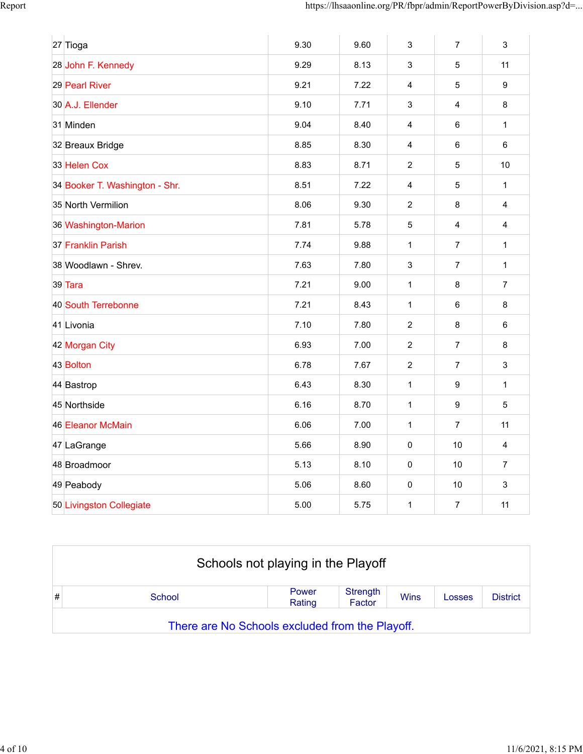| 9.30                                                                                                                                                                                                                                                                                                                                                                                                                               | 9.60 | $\mathbf{3}$   | $\overline{7}$          | 3              |
|------------------------------------------------------------------------------------------------------------------------------------------------------------------------------------------------------------------------------------------------------------------------------------------------------------------------------------------------------------------------------------------------------------------------------------|------|----------------|-------------------------|----------------|
| 9.29                                                                                                                                                                                                                                                                                                                                                                                                                               | 8.13 | 3              | 5                       | 11             |
| 9.21                                                                                                                                                                                                                                                                                                                                                                                                                               | 7.22 | 4              | 5                       | 9              |
| 9.10                                                                                                                                                                                                                                                                                                                                                                                                                               | 7.71 | 3              | $\overline{\mathbf{4}}$ | 8              |
| 9.04                                                                                                                                                                                                                                                                                                                                                                                                                               | 8.40 | 4              | 6                       | $\mathbf{1}$   |
| 8.85                                                                                                                                                                                                                                                                                                                                                                                                                               | 8.30 | 4              | 6                       | $6\phantom{1}$ |
| 8.83                                                                                                                                                                                                                                                                                                                                                                                                                               | 8.71 | 2              | 5                       | 10             |
| 8.51                                                                                                                                                                                                                                                                                                                                                                                                                               | 7.22 | 4              | 5                       | $\mathbf{1}$   |
| 8.06                                                                                                                                                                                                                                                                                                                                                                                                                               | 9.30 | $\overline{2}$ | 8                       | 4              |
| 7.81                                                                                                                                                                                                                                                                                                                                                                                                                               | 5.78 | 5              | 4                       | 4              |
| 7.74                                                                                                                                                                                                                                                                                                                                                                                                                               | 9.88 | $\mathbf{1}$   | 7                       | 1              |
| 7.63                                                                                                                                                                                                                                                                                                                                                                                                                               | 7.80 | 3              | $\overline{7}$          | $\mathbf{1}$   |
| 7.21                                                                                                                                                                                                                                                                                                                                                                                                                               | 9.00 | 1              | 8                       | 7              |
| 7.21                                                                                                                                                                                                                                                                                                                                                                                                                               | 8.43 | $\mathbf{1}$   | 6                       | 8              |
| 7.10                                                                                                                                                                                                                                                                                                                                                                                                                               | 7.80 | 2              | 8                       | 6              |
| 6.93                                                                                                                                                                                                                                                                                                                                                                                                                               | 7.00 | $\overline{2}$ | $\overline{7}$          | 8              |
| 6.78                                                                                                                                                                                                                                                                                                                                                                                                                               | 7.67 | $\overline{2}$ | 7                       | 3              |
| 6.43                                                                                                                                                                                                                                                                                                                                                                                                                               | 8.30 | $\mathbf{1}$   | 9                       | $\mathbf{1}$   |
| 6.16                                                                                                                                                                                                                                                                                                                                                                                                                               | 8.70 | $\mathbf{1}$   | 9                       | 5              |
| 6.06                                                                                                                                                                                                                                                                                                                                                                                                                               | 7.00 | $\mathbf{1}$   | 7                       | 11             |
| 5.66                                                                                                                                                                                                                                                                                                                                                                                                                               | 8.90 | 0              | 10                      | 4              |
| 5.13                                                                                                                                                                                                                                                                                                                                                                                                                               | 8.10 | 0              | 10                      | $\overline{7}$ |
| 5.06                                                                                                                                                                                                                                                                                                                                                                                                                               | 8.60 | 0              | 10                      | 3              |
|                                                                                                                                                                                                                                                                                                                                                                                                                                    |      |                |                         |                |
| 27 Tioga<br>28 John F. Kennedy<br>29 Pearl River<br>30 A.J. Ellender<br>31 Minden<br>32 Breaux Bridge<br>33 Helen Cox<br>34 Booker T. Washington - Shr.<br>35 North Vermilion<br>36 Washington-Marion<br>37 Franklin Parish<br>38 Woodlawn - Shrev.<br>39 Tara<br>40 South Terrebonne<br>41 Livonia<br>42 Morgan City<br>43 Bolton<br>44 Bastrop<br>45 Northside<br>46 Eleanor McMain<br>47 LaGrange<br>48 Broadmoor<br>49 Peabody |      |                |                         |                |

|   | Schools not playing in the Playoff              |                 |                    |             |        |                 |  |  |  |
|---|-------------------------------------------------|-----------------|--------------------|-------------|--------|-----------------|--|--|--|
| # | School                                          | Power<br>Rating | Strength<br>Factor | <b>Wins</b> | Losses | <b>District</b> |  |  |  |
|   | There are No Schools excluded from the Playoff. |                 |                    |             |        |                 |  |  |  |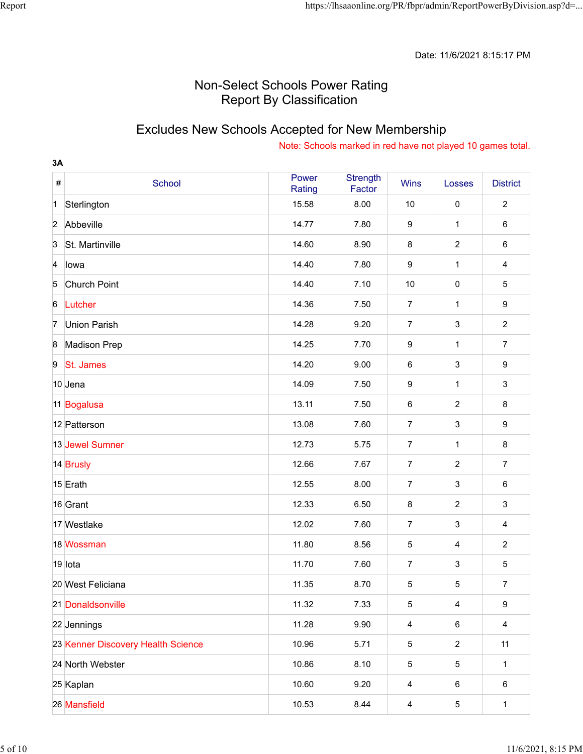### Excludes New Schools Accepted for New Membership

| 3A               |                                    |                 |                           |                         |                           |                         |
|------------------|------------------------------------|-----------------|---------------------------|-------------------------|---------------------------|-------------------------|
| $\#$             | School                             | Power<br>Rating | <b>Strength</b><br>Factor | <b>Wins</b>             | Losses                    | <b>District</b>         |
| $\mathbf 1$      | Sterlington                        | 15.58           | 8.00                      | 10                      | $\pmb{0}$                 | $\overline{c}$          |
| $\overline{2}$   | Abbeville                          | 14.77           | 7.80                      | $\boldsymbol{9}$        | $\mathbf{1}$              | $\,6$                   |
| $\overline{3}$   | St. Martinville                    | 14.60           | 8.90                      | 8                       | $\overline{2}$            | 6                       |
| $\overline{A}$   | lowa                               | 14.40           | 7.80                      | $\boldsymbol{9}$        | $\mathbf{1}$              | $\overline{\mathbf{4}}$ |
| 5                | Church Point                       | 14.40           | 7.10                      | 10                      | $\pmb{0}$                 | $\sqrt{5}$              |
| $6\phantom{.}6$  | Lutcher                            | 14.36           | 7.50                      | $\overline{7}$          | $\mathbf{1}$              | 9                       |
| $\overline{7}$   | <b>Union Parish</b>                | 14.28           | 9.20                      | $\overline{7}$          | $\sqrt{3}$                | $\overline{2}$          |
| $\boldsymbol{8}$ | <b>Madison Prep</b>                | 14.25           | 7.70                      | 9                       | $\mathbf{1}$              | $\overline{7}$          |
| 9                | St. James                          | 14.20           | 9.00                      | $\,6$                   | $\ensuremath{\mathsf{3}}$ | 9                       |
|                  | 10 Jena                            | 14.09           | 7.50                      | 9                       | $\mathbf{1}$              | $\mathfrak{S}$          |
|                  | 11 Bogalusa                        | 13.11           | 7.50                      | 6                       | $\overline{2}$            | 8                       |
|                  | 12 Patterson                       | 13.08           | 7.60                      | $\overline{7}$          | $\mathbf{3}$              | 9                       |
|                  | 13 Jewel Sumner                    | 12.73           | 5.75                      | $\overline{7}$          | $\mathbf{1}$              | 8                       |
|                  | 14 Brusly                          | 12.66           | 7.67                      | $\overline{7}$          | $\overline{2}$            | $\overline{7}$          |
|                  | 15 Erath                           | 12.55           | 8.00                      | $\overline{7}$          | $\sqrt{3}$                | 6                       |
|                  | 16 Grant                           | 12.33           | 6.50                      | 8                       | $\sqrt{2}$                | $\mathfrak{S}$          |
|                  | 17 Westlake                        | 12.02           | 7.60                      | 7                       | $\sqrt{3}$                | 4                       |
|                  | 18 Wossman                         | 11.80           | 8.56                      | $\mathbf 5$             | $\overline{\mathbf{4}}$   | $\overline{2}$          |
|                  | 19 lota                            | 11.70           | 7.60                      | 7                       | $\ensuremath{\mathsf{3}}$ | $\sqrt{5}$              |
|                  | 20 West Feliciana                  | 11.35           | 8.70                      | $5\phantom{.0}$         | $\mathbf 5$               | $\overline{7}$          |
|                  | 21 Donaldsonville                  | 11.32           | 7.33                      | 5                       | $\overline{4}$            | 9                       |
|                  | 22 Jennings                        | 11.28           | 9.90                      | $\overline{\mathbf{4}}$ | $\,6\,$                   | $\overline{4}$          |
|                  | 23 Kenner Discovery Health Science | 10.96           | 5.71                      | 5                       | $\boldsymbol{2}$          | 11                      |
|                  | 24 North Webster                   | 10.86           | 8.10                      | 5                       | $\mathbf 5$               | $\mathbf{1}$            |
|                  | 25 Kaplan                          | 10.60           | 9.20                      | 4                       | $\,6\,$                   | 6                       |
|                  | 26 Mansfield                       | 10.53           | 8.44                      | $\overline{\mathbf{r}}$ | $\mathbf 5$               | $\mathbf{1}$            |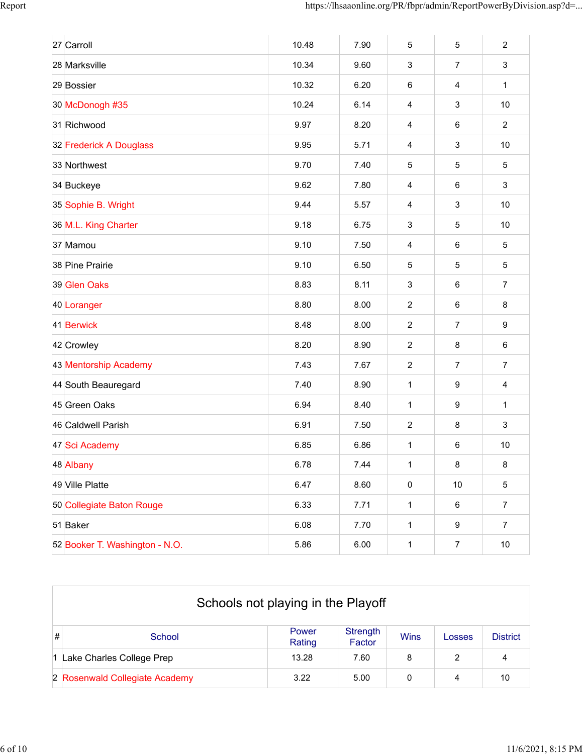| 27 Carroll                     | 10.48 | 7.90 | 5                       | 5                       | $\overline{2}$   |
|--------------------------------|-------|------|-------------------------|-------------------------|------------------|
| 28 Marksville                  | 10.34 | 9.60 | 3                       | $\overline{7}$          | 3                |
| 29 Bossier                     | 10.32 | 6.20 | 6                       | $\overline{\mathbf{4}}$ | $\mathbf{1}$     |
| 30 McDonogh #35                | 10.24 | 6.14 | $\overline{\mathbf{4}}$ | $\mathsf 3$             | 10               |
| 31 Richwood                    | 9.97  | 8.20 | 4                       | 6                       | $\overline{2}$   |
| 32 Frederick A Douglass        | 9.95  | 5.71 | 4                       | $\sqrt{3}$              | 10               |
| 33 Northwest                   | 9.70  | 7.40 | 5                       | $\mathbf 5$             | $\sqrt{5}$       |
| 34 Buckeye                     | 9.62  | 7.80 | $\overline{\mathbf{4}}$ | 6                       | $\mathbf{3}$     |
| 35 Sophie B. Wright            | 9.44  | 5.57 | 4                       | $\mathsf 3$             | 10               |
| 36 M.L. King Charter           | 9.18  | 6.75 | 3                       | $\mathbf 5$             | 10               |
| 37 Mamou                       | 9.10  | 7.50 | 4                       | $\,6\,$                 | $\overline{5}$   |
| 38 Pine Prairie                | 9.10  | 6.50 | 5                       | 5                       | 5                |
| 39 Glen Oaks                   | 8.83  | 8.11 | 3                       | $\,6\,$                 | $\overline{7}$   |
| 40 Loranger                    | 8.80  | 8.00 | $\overline{c}$          | 6                       | 8                |
| 41 Berwick                     | 8.48  | 8.00 | $\overline{c}$          | $\boldsymbol{7}$        | $\boldsymbol{9}$ |
| 42 Crowley                     | 8.20  | 8.90 | $\overline{2}$          | 8                       | $\,6\,$          |
| 43 Mentorship Academy          | 7.43  | 7.67 | $\overline{c}$          | $\overline{7}$          | $\overline{7}$   |
| 44 South Beauregard            | 7.40  | 8.90 | 1                       | $\boldsymbol{9}$        | $\overline{4}$   |
| 45 Green Oaks                  | 6.94  | 8.40 | 1                       | $\boldsymbol{9}$        | $\mathbf{1}$     |
| 46 Caldwell Parish             | 6.91  | 7.50 | $\overline{2}$          | 8                       | 3                |
| 47 Sci Academy                 | 6.85  | 6.86 | 1                       | 6                       | 10               |
| 48 Albany                      | 6.78  | 7.44 | 1                       | 8                       | 8                |
| 49 Ville Platte                | 6.47  | 8.60 | $\pmb{0}$               | $10$                    | $5\,$            |
| 50 Collegiate Baton Rouge      | 6.33  | 7.71 | $\mathbf{1}$            | 6                       | $\boldsymbol{7}$ |
| 51 Baker                       | 6.08  | 7.70 | $\mathbf{1}$            | $\boldsymbol{9}$        | $\overline{7}$   |
| 52 Booker T. Washington - N.O. | 5.86  | 6.00 | $\mathbf{1}$            | $\boldsymbol{7}$        | $10\,$           |

|   | Schools not playing in the Playoff |                 |                    |             |        |                 |  |  |
|---|------------------------------------|-----------------|--------------------|-------------|--------|-----------------|--|--|
| # | School                             | Power<br>Rating | Strength<br>Factor | <b>Wins</b> | Losses | <b>District</b> |  |  |
|   | 1 Lake Charles College Prep        | 13.28           | 7.60               | 8           | 2      | 4               |  |  |
|   | 2 Rosenwald Collegiate Academy     | 3.22            | 5.00               | 0           | 4      | 10              |  |  |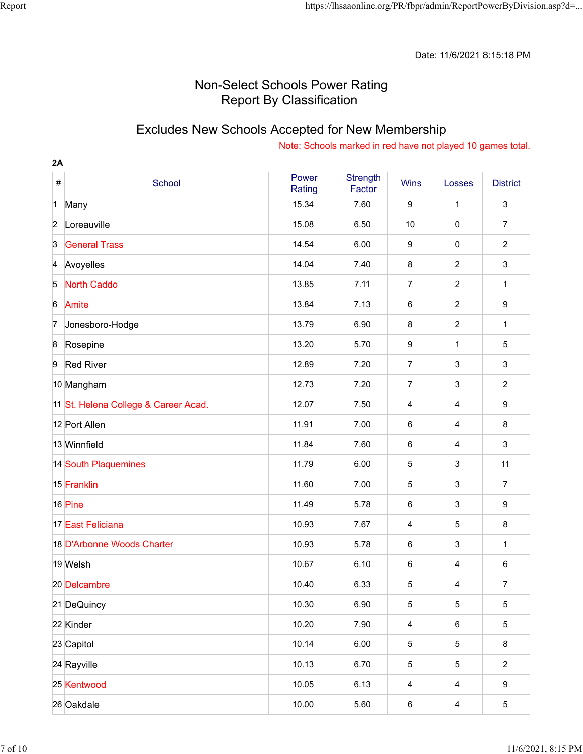### Excludes New Schools Accepted for New Membership

| 2A               |                                      |                 |                           |                         |                         |                           |
|------------------|--------------------------------------|-----------------|---------------------------|-------------------------|-------------------------|---------------------------|
| $\#$             | School                               | Power<br>Rating | <b>Strength</b><br>Factor | <b>Wins</b>             | Losses                  | <b>District</b>           |
| $\mathbf 1$      | Many                                 | 15.34           | 7.60                      | 9                       | 1                       | $\ensuremath{\mathsf{3}}$ |
| $\overline{2}$   | Loreauville                          | 15.08           | 6.50                      | 10                      | $\pmb{0}$               | $\overline{7}$            |
| $\overline{3}$   | <b>General Trass</b>                 | 14.54           | 6.00                      | 9                       | $\mathbf 0$             | $\overline{2}$            |
| $\overline{A}$   | Avoyelles                            | 14.04           | 7.40                      | $\bf 8$                 | $\overline{2}$          | $\ensuremath{\mathsf{3}}$ |
| 5                | <b>North Caddo</b>                   | 13.85           | 7.11                      | $\overline{7}$          | $\overline{2}$          | 1                         |
| 6                | Amite                                | 13.84           | 7.13                      | 6                       | $\overline{2}$          | 9                         |
| 7                | Jonesboro-Hodge                      | 13.79           | 6.90                      | 8                       | $\overline{c}$          | 1                         |
| $\boldsymbol{8}$ | Rosepine                             | 13.20           | 5.70                      | $\boldsymbol{9}$        | $\mathbf{1}$            | $\overline{5}$            |
| 9                | <b>Red River</b>                     | 12.89           | 7.20                      | $\overline{7}$          | $\sqrt{3}$              | $\mathfrak{S}$            |
|                  | 10 Mangham                           | 12.73           | 7.20                      | $\overline{7}$          | $\mathsf 3$             | $\overline{c}$            |
|                  | 11 St. Helena College & Career Acad. | 12.07           | 7.50                      | 4                       | 4                       | 9                         |
|                  | 12 Port Allen                        | 11.91           | 7.00                      | 6                       | $\overline{\mathbf{4}}$ | 8                         |
|                  | 13 Winnfield                         | 11.84           | 7.60                      | 6                       | 4                       | $\mathfrak{S}$            |
|                  | 14 South Plaquemines                 | 11.79           | 6.00                      | 5                       | $\sqrt{3}$              | 11                        |
|                  | 15 Franklin                          | 11.60           | 7.00                      | 5                       | $\mathsf 3$             | $\overline{7}$            |
|                  | 16 Pine                              | 11.49           | 5.78                      | 6                       | $\sqrt{3}$              | 9                         |
|                  | 17 East Feliciana                    | 10.93           | 7.67                      | 4                       | $\mathbf 5$             | 8                         |
|                  | 18 D'Arbonne Woods Charter           | 10.93           | 5.78                      | 6                       | $\sqrt{3}$              | 1                         |
|                  | 19 Welsh                             | 10.67           | 6.10                      | 6                       | $\overline{4}$          | 6                         |
|                  | 20 Delcambre                         | 10.40           | 6.33                      | 5                       | 4                       | $\overline{7}$            |
|                  | 21 DeQuincy                          | 10.30           | 6.90                      | 5                       | 5                       | $\sqrt{5}$                |
|                  | 22 Kinder                            | 10.20           | 7.90                      | $\overline{\mathbf{4}}$ | $\,6\,$                 | $\overline{5}$            |
|                  | 23 Capitol                           | 10.14           | 6.00                      | 5                       | 5                       | 8                         |
|                  | 24 Rayville                          | 10.13           | 6.70                      | 5                       | 5                       | $\overline{2}$            |
|                  | 25 Kentwood                          | 10.05           | 6.13                      | $\overline{\mathbf{4}}$ | $\overline{4}$          | 9                         |
|                  | 26 Oakdale                           | 10.00           | 5.60                      | 6                       | $\overline{\mathbf{4}}$ | $\overline{5}$            |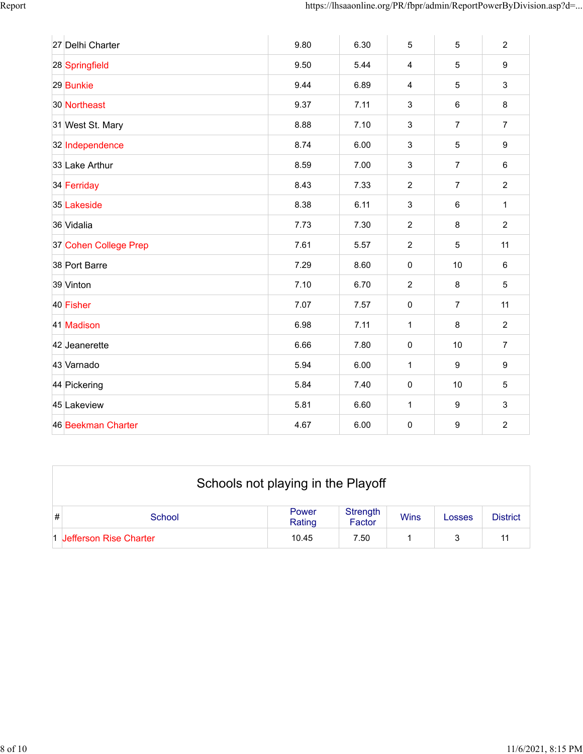| 27 Delhi Charter      | 9.80 | 6.30 | 5                         | $\sqrt{5}$       | $\overline{2}$   |
|-----------------------|------|------|---------------------------|------------------|------------------|
| 28 Springfield        | 9.50 | 5.44 | $\overline{\mathbf{4}}$   | 5                | 9                |
| 29 Bunkie             | 9.44 | 6.89 | 4                         | 5                | $\mathbf{3}$     |
| 30 Northeast          | 9.37 | 7.11 | 3                         | $\,6\,$          | $\bf 8$          |
| 31 West St. Mary      | 8.88 | 7.10 | 3                         | $\overline{7}$   | $\overline{7}$   |
| 32 Independence       | 8.74 | 6.00 | 3                         | 5                | 9                |
| 33 Lake Arthur        | 8.59 | 7.00 | 3                         | $\overline{7}$   | $\,6\,$          |
| 34 Ferriday           | 8.43 | 7.33 | $\overline{2}$            | $\overline{7}$   | $\overline{c}$   |
| 35 Lakeside           | 8.38 | 6.11 | $\ensuremath{\mathsf{3}}$ | $\,6\,$          | $\mathbf{1}$     |
| 36 Vidalia            | 7.73 | 7.30 | $\overline{2}$            | 8                | $\overline{2}$   |
| 37 Cohen College Prep | 7.61 | 5.57 | $\overline{2}$            | 5                | 11               |
| 38 Port Barre         | 7.29 | 8.60 | $\pmb{0}$                 | $10$             | $\,6\,$          |
| 39 Vinton             | 7.10 | 6.70 | $\overline{2}$            | 8                | 5                |
| 40 Fisher             | 7.07 | 7.57 | $\pmb{0}$                 | $\overline{7}$   | 11               |
| 41 Madison            | 6.98 | 7.11 | $\mathbf{1}$              | $\,8\,$          | $\boldsymbol{2}$ |
| 42 Jeanerette         | 6.66 | 7.80 | $\pmb{0}$                 | 10               | $\overline{7}$   |
| 43 Varnado            | 5.94 | 6.00 | 1                         | $\boldsymbol{9}$ | $\boldsymbol{9}$ |
| 44 Pickering          | 5.84 | 7.40 | $\pmb{0}$                 | 10               | $\sqrt{5}$       |
| 45 Lakeview           | 5.81 | 6.60 | $\mathbf{1}$              | $\boldsymbol{9}$ | $\mathfrak{S}$   |
| 46 Beekman Charter    | 4.67 | 6.00 | $\pmb{0}$                 | $\boldsymbol{9}$ | $\overline{2}$   |

|   | Schools not playing in the Playoff |                 |                    |             |        |                 |  |  |
|---|------------------------------------|-----------------|--------------------|-------------|--------|-----------------|--|--|
| # | School                             | Power<br>Rating | Strength<br>Factor | <b>Wins</b> | Losses | <b>District</b> |  |  |
|   | 1 Jefferson Rise Charter           | 10.45           | 7.50               |             |        | 11              |  |  |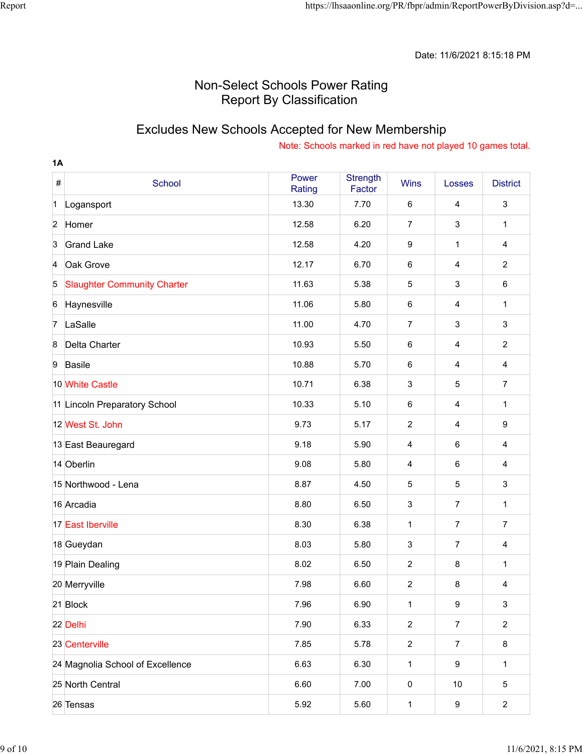### Excludes New Schools Accepted for New Membership

| <b>1A</b>      |                                    |                 |                           |                         |                         |                 |
|----------------|------------------------------------|-----------------|---------------------------|-------------------------|-------------------------|-----------------|
| $\#$           | School                             | Power<br>Rating | <b>Strength</b><br>Factor | Wins                    | Losses                  | <b>District</b> |
| $\mathbf 1$    | Logansport                         | 13.30           | 7.70                      | 6                       | 4                       | 3               |
| $\overline{2}$ | Homer                              | 12.58           | 6.20                      | $\overline{7}$          | $\mathbf{3}$            | 1               |
| $\overline{3}$ | <b>Grand Lake</b>                  | 12.58           | 4.20                      | 9                       | 1                       | 4               |
| 4              | Oak Grove                          | 12.17           | 6.70                      | 6                       | $\overline{4}$          | $\overline{2}$  |
| 5              | <b>Slaughter Community Charter</b> | 11.63           | 5.38                      | 5                       | $\sqrt{3}$              | 6               |
| $6\phantom{a}$ | Haynesville                        | 11.06           | 5.80                      | 6                       | $\overline{\mathbf{4}}$ | 1               |
| 7              | LaSalle                            | 11.00           | 4.70                      | 7                       | $\sqrt{3}$              | 3               |
| 8              | Delta Charter                      | 10.93           | 5.50                      | 6                       | $\overline{\mathbf{4}}$ | $\overline{2}$  |
| 9              | <b>Basile</b>                      | 10.88           | 5.70                      | 6                       | $\overline{4}$          | $\overline{4}$  |
|                | 10 White Castle                    | 10.71           | 6.38                      | 3                       | $\overline{5}$          | $\overline{7}$  |
|                | 11 Lincoln Preparatory School      | 10.33           | 5.10                      | 6                       | $\overline{4}$          | 1               |
|                | 12 West St. John                   | 9.73            | 5.17                      | $\overline{2}$          | $\overline{4}$          | 9               |
|                | 13 East Beauregard                 | 9.18            | 5.90                      | 4                       | 6                       | 4               |
|                | 14 Oberlin                         | 9.08            | 5.80                      | $\overline{\mathbf{4}}$ | $\,6$                   | 4               |
|                | 15 Northwood - Lena                | 8.87            | 4.50                      | 5                       | $\overline{5}$          | 3               |
|                | 16 Arcadia                         | 8.80            | 6.50                      | 3                       | $\overline{7}$          | 1               |
|                | 17 East Iberville                  | 8.30            | 6.38                      | 1                       | $\overline{7}$          | $\overline{7}$  |
|                | 18 Gueydan                         | 8.03            | 5.80                      | 3                       | $\overline{7}$          | 4               |
|                | 19 Plain Dealing                   | 8.02            | 6.50                      | 2                       | 8                       | 1               |
|                | 20 Merryville                      | 7.98            | 6.60                      | $\overline{c}$          | $\bf 8$                 | 4               |
|                | 21 Block                           | 7.96            | 6.90                      | $\mathbf{1}$            | $\boldsymbol{9}$        | $\mathbf{3}$    |
|                | 22 Delhi                           | 7.90            | 6.33                      | $\overline{a}$          | $\boldsymbol{7}$        | $\overline{2}$  |
|                | 23 Centerville                     | 7.85            | 5.78                      | $\overline{c}$          | $\overline{7}$          | 8               |
|                | 24 Magnolia School of Excellence   | 6.63            | 6.30                      | $\mathbf 1$             | $\boldsymbol{9}$        | $\mathbf{1}$    |
|                | 25 North Central                   | 6.60            | 7.00                      | 0                       | $10$                    | $\sqrt{5}$      |
|                | 26 Tensas                          | 5.92            | 5.60                      | $\mathbf{1}$            | $\boldsymbol{9}$        | $\overline{a}$  |